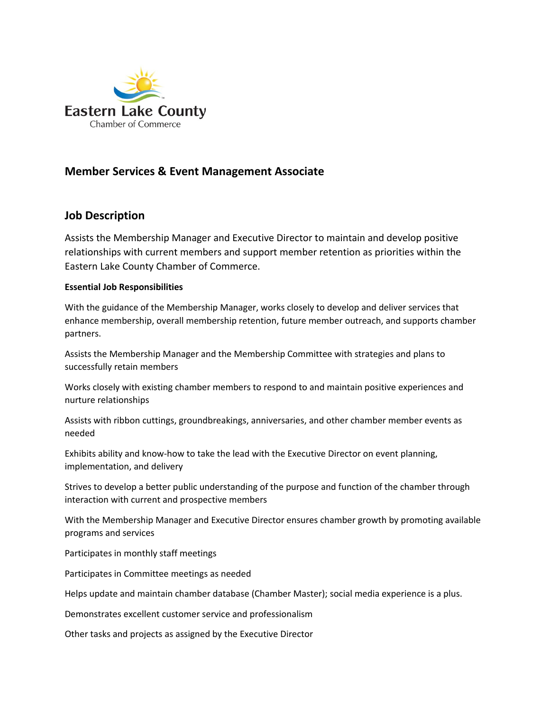

## **Member Services & Event Management Associate**

## **Job Description**

Assists the Membership Manager and Executive Director to maintain and develop positive relationships with current members and support member retention as priorities within the Eastern Lake County Chamber of Commerce.

## **Essential Job Responsibilities**

With the guidance of the Membership Manager, works closely to develop and deliver services that enhance membership, overall membership retention, future member outreach, and supports chamber partners.

Assists the Membership Manager and the Membership Committee with strategies and plans to successfully retain members

Works closely with existing chamber members to respond to and maintain positive experiences and nurture relationships

Assists with ribbon cuttings, groundbreakings, anniversaries, and other chamber member events as needed

Exhibits ability and know-how to take the lead with the Executive Director on event planning, implementation, and delivery

Strives to develop a better public understanding of the purpose and function of the chamber through interaction with current and prospective members

With the Membership Manager and Executive Director ensures chamber growth by promoting available programs and services

Participates in monthly staff meetings

Participates in Committee meetings as needed

Helps update and maintain chamber database (Chamber Master); social media experience is a plus.

Demonstrates excellent customer service and professionalism

Other tasks and projects as assigned by the Executive Director